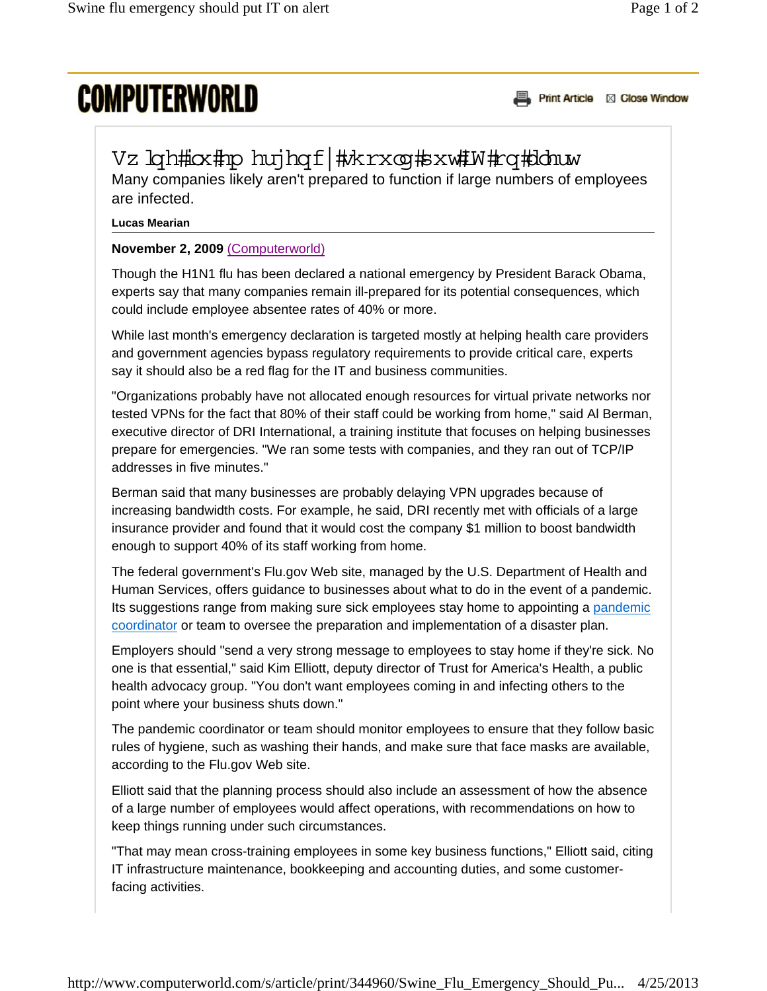## **COMPUTERWORLD**

Print Article & Close Window

## Vz Igh#iox#pp hujhqf|#}krxoq#sxw#W#rq#Johuw

Many companies likely aren't prepared to function if large numbers of employees are infected.

## **Lucas Mearian**

## **November 2, 2009** (Computerworld)

Though the H1N1 flu has been declared a national emergency by President Barack Obama, experts say that many companies remain ill-prepared for its potential consequences, which could include employee absentee rates of 40% or more.

While last month's emergency declaration is targeted mostly at helping health care providers and government agencies bypass regulatory requirements to provide critical care, experts say it should also be a red flag for the IT and business communities.

"Organizations probably have not allocated enough resources for virtual private networks nor tested VPNs for the fact that 80% of their staff could be working from home," said Al Berman, executive director of DRI International, a training institute that focuses on helping businesses prepare for emergencies. "We ran some tests with companies, and they ran out of TCP/IP addresses in five minutes."

Berman said that many businesses are probably delaying VPN upgrades because of increasing bandwidth costs. For example, he said, DRI recently met with officials of a large insurance provider and found that it would cost the company \$1 million to boost bandwidth enough to support 40% of its staff working from home.

The federal government's Flu.gov Web site, managed by the U.S. Department of Health and Human Services, offers guidance to businesses about what to do in the event of a pandemic. Its suggestions range from making sure sick employees stay home to appointing a pandemic coordinator or team to oversee the preparation and implementation of a disaster plan.

Employers should "send a very strong message to employees to stay home if they're sick. No one is that essential," said Kim Elliott, deputy director of Trust for America's Health, a public health advocacy group. "You don't want employees coming in and infecting others to the point where your business shuts down."

The pandemic coordinator or team should monitor employees to ensure that they follow basic rules of hygiene, such as washing their hands, and make sure that face masks are available, according to the Flu.gov Web site.

Elliott said that the planning process should also include an assessment of how the absence of a large number of employees would affect operations, with recommendations on how to keep things running under such circumstances.

"That may mean cross-training employees in some key business functions," Elliott said, citing IT infrastructure maintenance, bookkeeping and accounting duties, and some customerfacing activities.